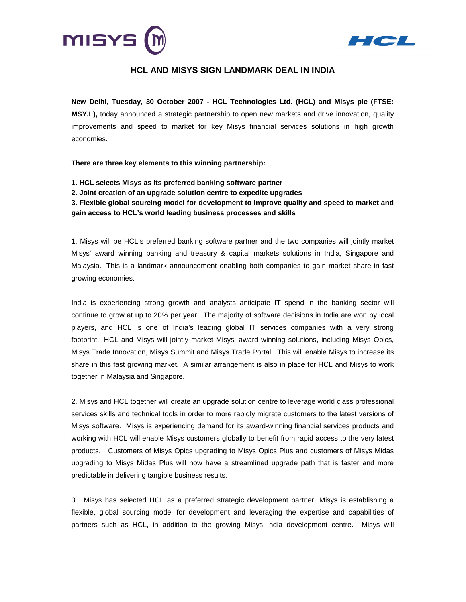



# **HCL AND MISYS SIGN LANDMARK DEAL IN INDIA**

**New Delhi, Tuesday, 30 October 2007 - HCL Technologies Ltd. (HCL) and Misys plc (FTSE: MSY.L),** today announced a strategic partnership to open new markets and drive innovation, quality improvements and speed to market for key Misys financial services solutions in high growth economies.

**There are three key elements to this winning partnership:** 

- **1. HCL selects Misys as its preferred banking software partner**
- **2. Joint creation of an upgrade solution centre to expedite upgrades**

**3. Flexible global sourcing model for development to improve quality and speed to market and gain access to HCL's world leading business processes and skills** 

1. Misys will be HCL's preferred banking software partner and the two companies will jointly market Misys' award winning banking and treasury & capital markets solutions in India, Singapore and Malaysia. This is a landmark announcement enabling both companies to gain market share in fast growing economies.

India is experiencing strong growth and analysts anticipate IT spend in the banking sector will continue to grow at up to 20% per year. The majority of software decisions in India are won by local players, and HCL is one of India's leading global IT services companies with a very strong footprint. HCL and Misys will jointly market Misys' award winning solutions, including Misys Opics, Misys Trade Innovation, Misys Summit and Misys Trade Portal. This will enable Misys to increase its share in this fast growing market. A similar arrangement is also in place for HCL and Misys to work together in Malaysia and Singapore.

2. Misys and HCL together will create an upgrade solution centre to leverage world class professional services skills and technical tools in order to more rapidly migrate customers to the latest versions of Misys software. Misys is experiencing demand for its award-winning financial services products and working with HCL will enable Misys customers globally to benefit from rapid access to the very latest products. Customers of Misys Opics upgrading to Misys Opics Plus and customers of Misys Midas upgrading to Misys Midas Plus will now have a streamlined upgrade path that is faster and more predictable in delivering tangible business results.

3. Misys has selected HCL as a preferred strategic development partner. Misys is establishing a flexible, global sourcing model for development and leveraging the expertise and capabilities of partners such as HCL, in addition to the growing Misys India development centre. Misys will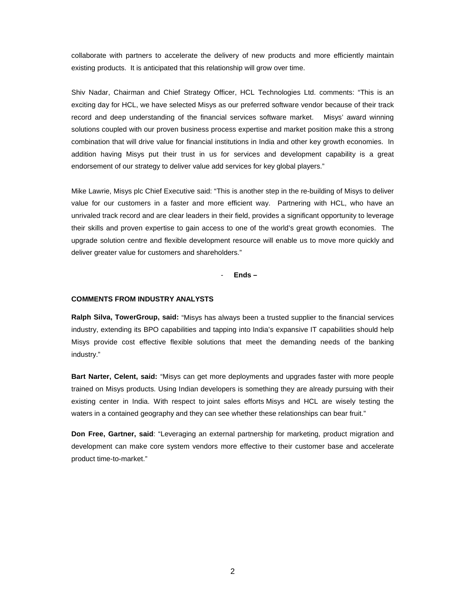collaborate with partners to accelerate the delivery of new products and more efficiently maintain existing products. It is anticipated that this relationship will grow over time.

Shiv Nadar, Chairman and Chief Strategy Officer, HCL Technologies Ltd. comments: "This is an exciting day for HCL, we have selected Misys as our preferred software vendor because of their track record and deep understanding of the financial services software market. Misys' award winning solutions coupled with our proven business process expertise and market position make this a strong combination that will drive value for financial institutions in India and other key growth economies. In addition having Misys put their trust in us for services and development capability is a great endorsement of our strategy to deliver value add services for key global players."

Mike Lawrie, Misys plc Chief Executive said: "This is another step in the re-building of Misys to deliver value for our customers in a faster and more efficient way. Partnering with HCL, who have an unrivaled track record and are clear leaders in their field, provides a significant opportunity to leverage their skills and proven expertise to gain access to one of the world's great growth economies. The upgrade solution centre and flexible development resource will enable us to move more quickly and deliver greater value for customers and shareholders."

- **Ends –** 

# **COMMENTS FROM INDUSTRY ANALYSTS**

**Ralph Silva, TowerGroup, said:** "Misys has always been a trusted supplier to the financial services industry, extending its BPO capabilities and tapping into India's expansive IT capabilities should help Misys provide cost effective flexible solutions that meet the demanding needs of the banking industry."

**Bart Narter, Celent, said:** "Misys can get more deployments and upgrades faster with more people trained on Misys products. Using Indian developers is something they are already pursuing with their existing center in India. With respect to joint sales efforts Misys and HCL are wisely testing the waters in a contained geography and they can see whether these relationships can bear fruit."

**Don Free, Gartner, said**: "Leveraging an external partnership for marketing, product migration and development can make core system vendors more effective to their customer base and accelerate product time-to-market."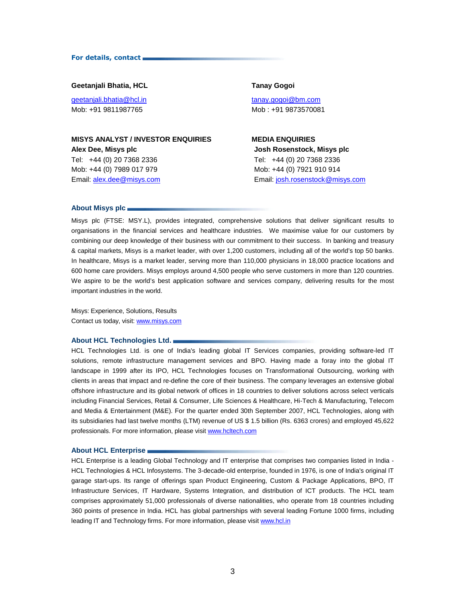### For details, contact

# **Geetanjali Bhatia, HCL Tanay Gogoi**

geetanjali.bhatia@hcl.in tanay.gogoi@bm.com Mob: +91 9811987765 Mob : +91 9873570081

# **MISYS ANALYST / INVESTOR ENQUIRIES MEDIA ENQUIRIES**

Tel: +44 (0) 20 7368 2336 Mob: +44 (0) 7989 017 979 Email: alex.dee@misys.com

# **Alex Dee, Misys plc Josh Rosenstock, Misys plc**  Tel: +44 (0) 20 7368 2336 Mob: +44 (0) 7921 910 914 Email: josh.rosenstock@misys.com

### **About Misys plc**

Misys plc (FTSE: MSY.L), provides integrated, comprehensive solutions that deliver significant results to organisations in the financial services and healthcare industries. We maximise value for our customers by combining our deep knowledge of their business with our commitment to their success. In banking and treasury & capital markets, Misys is a market leader, with over 1,200 customers, including all of the world's top 50 banks. In healthcare, Misys is a market leader, serving more than 110,000 physicians in 18,000 practice locations and 600 home care providers. Misys employs around 4,500 people who serve customers in more than 120 countries. We aspire to be the world's best application software and services company, delivering results for the most important industries in the world.

Misys: Experience, Solutions, Results Contact us today, visit: www.misys.com

### **About HCL Technologies Ltd.**

HCL Technologies Ltd. is one of India's leading global IT Services companies, providing software-led IT solutions, remote infrastructure management services and BPO. Having made a foray into the global IT landscape in 1999 after its IPO, HCL Technologies focuses on Transformational Outsourcing, working with clients in areas that impact and re-define the core of their business. The company leverages an extensive global offshore infrastructure and its global network of offices in 18 countries to deliver solutions across select verticals including Financial Services, Retail & Consumer, Life Sciences & Healthcare, Hi-Tech & Manufacturing, Telecom and Media & Entertainment (M&E). For the quarter ended 30th September 2007, HCL Technologies, along with its subsidiaries had last twelve months (LTM) revenue of US \$ 1.5 billion (Rs. 6363 crores) and employed 45,622 professionals. For more information, please visit www.hcltech.com

### **About HCL Enterprise**

HCL Enterprise is a leading Global Technology and IT enterprise that comprises two companies listed in India - HCL Technologies & HCL Infosystems. The 3-decade-old enterprise, founded in 1976, is one of India's original IT garage start-ups. Its range of offerings span Product Engineering, Custom & Package Applications, BPO, IT Infrastructure Services, IT Hardware, Systems Integration, and distribution of ICT products. The HCL team comprises approximately 51,000 professionals of diverse nationalities, who operate from 18 countries including 360 points of presence in India. HCL has global partnerships with several leading Fortune 1000 firms, including leading IT and Technology firms. For more information, please visit www.hcl.in